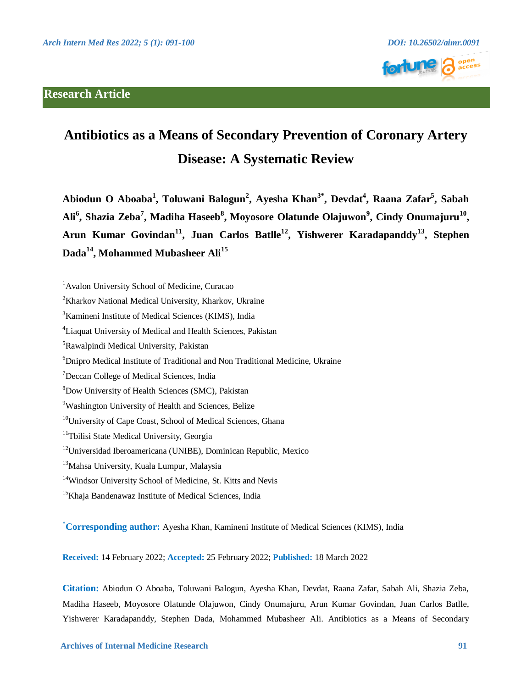# **Research Article**





# **Antibiotics as a Means of Secondary Prevention of Coronary Artery Disease: A Systematic Review**

**Abiodun O Aboaba<sup>1</sup> , Toluwani Balogun<sup>2</sup> , Ayesha Khan3\* , Devdat<sup>4</sup> , Raana Zafar<sup>5</sup> , Sabah Ali<sup>6</sup> , Shazia Zeba<sup>7</sup> , Madiha Haseeb<sup>8</sup> , Moyosore Olatunde Olajuwon<sup>9</sup> , Cindy Onumajuru<sup>10</sup> , Arun Kumar Govindan<sup>11</sup>, Juan Carlos Batlle<sup>12</sup>, Yishwerer Karadapanddy<sup>13</sup>, Stephen Dada<sup>14</sup>, Mohammed Mubasheer Ali<sup>15</sup>**

**\*Corresponding author:** Ayesha Khan, Kamineni Institute of Medical Sciences (KIMS), India

**Received:** 14 February 2022; **Accepted:** 25 February 2022; **Published:** 18 March 2022

**Citation:** Abiodun O Aboaba, Toluwani Balogun, Ayesha Khan, Devdat, Raana Zafar, Sabah Ali, Shazia Zeba, Madiha Haseeb, Moyosore Olatunde Olajuwon, Cindy Onumajuru, Arun Kumar Govindan, Juan Carlos Batlle, Yishwerer Karadapanddy, Stephen Dada, Mohammed Mubasheer Ali. Antibiotics as a Means of Secondary

<sup>&</sup>lt;sup>1</sup>Avalon University School of Medicine, Curacao

<sup>2</sup>Kharkov National Medical University, Kharkov, Ukraine

<sup>&</sup>lt;sup>3</sup>Kamineni Institute of Medical Sciences (KIMS), India

<sup>4</sup>Liaquat University of Medical and Health Sciences, Pakistan

<sup>5</sup>Rawalpindi Medical University, Pakistan

<sup>6</sup>Dnipro Medical Institute of Traditional and Non Traditional Medicine, Ukraine

<sup>7</sup>Deccan College of Medical Sciences, India

<sup>8</sup>Dow University of Health Sciences (SMC), Pakistan

<sup>&</sup>lt;sup>9</sup>Washington University of Health and Sciences, Belize

<sup>&</sup>lt;sup>10</sup>University of Cape Coast, School of Medical Sciences, Ghana

<sup>&</sup>lt;sup>11</sup>Tbilisi State Medical University, Georgia

<sup>12</sup>Universidad Iberoamericana (UNIBE), Dominican Republic, Mexico

<sup>&</sup>lt;sup>13</sup>Mahsa University, Kuala Lumpur, Malaysia

<sup>&</sup>lt;sup>14</sup>Windsor University School of Medicine, St. Kitts and Nevis

<sup>&</sup>lt;sup>15</sup>Khaja Bandenawaz Institute of Medical Sciences, India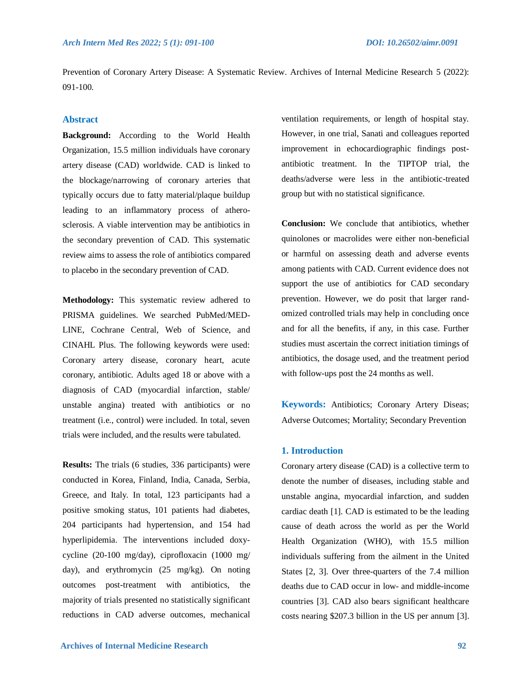Prevention of Coronary Artery Disease: A Systematic Review. Archives of Internal Medicine Research 5 (2022): 091-100.

# **Abstract**

**Background:** According to the World Health Organization, 15.5 million individuals have coronary artery disease (CAD) worldwide. CAD is linked to the blockage/narrowing of coronary arteries that typically occurs due to fatty material/plaque buildup leading to an inflammatory process of atherosclerosis. A viable intervention may be antibiotics in the secondary prevention of CAD. This systematic review aims to assess the role of antibiotics compared to placebo in the secondary prevention of CAD.

**Methodology:** This systematic review adhered to PRISMA guidelines. We searched PubMed/MED-LINE, Cochrane Central, Web of Science, and CINAHL Plus. The following keywords were used: Coronary artery disease, coronary heart, acute coronary, antibiotic. Adults aged 18 or above with a diagnosis of CAD (myocardial infarction, stable/ unstable angina) treated with antibiotics or no treatment (i.e., control) were included. In total, seven trials were included, and the results were tabulated.

**Results:** The trials (6 studies, 336 participants) were conducted in Korea, Finland, India, Canada, Serbia, Greece, and Italy. In total, 123 participants had a positive smoking status, 101 patients had diabetes, 204 participants had hypertension, and 154 had hyperlipidemia. The interventions included doxycycline (20-100 mg/day), ciprofloxacin (1000 mg/ day), and erythromycin (25 mg/kg). On noting outcomes post-treatment with antibiotics, the majority of trials presented no statistically significant reductions in CAD adverse outcomes, mechanical ventilation requirements, or length of hospital stay. However, in one trial, Sanati and colleagues reported improvement in echocardiographic findings postantibiotic treatment. In the TIPTOP trial, the deaths/adverse were less in the antibiotic-treated group but with no statistical significance.

**Conclusion:** We conclude that antibiotics, whether quinolones or macrolides were either non-beneficial or harmful on assessing death and adverse events among patients with CAD. Current evidence does not support the use of antibiotics for CAD secondary prevention. However, we do posit that larger randomized controlled trials may help in concluding once and for all the benefits, if any, in this case. Further studies must ascertain the correct initiation timings of antibiotics, the dosage used, and the treatment period with follow-ups post the 24 months as well.

**Keywords:** Antibiotics; Coronary Artery Diseas; Adverse Outcomes; Mortality; Secondary Prevention

## **1. Introduction**

Coronary artery disease (CAD) is a collective term to denote the number of diseases, including stable and unstable angina, myocardial infarction, and sudden cardiac death [1]. CAD is estimated to be the leading cause of death across the world as per the World Health Organization (WHO), with 15.5 million individuals suffering from the ailment in the United States [2, 3]. Over three-quarters of the 7.4 million deaths due to CAD occur in low- and middle-income countries [3]. CAD also bears significant healthcare costs nearing \$207.3 billion in the US per annum [3].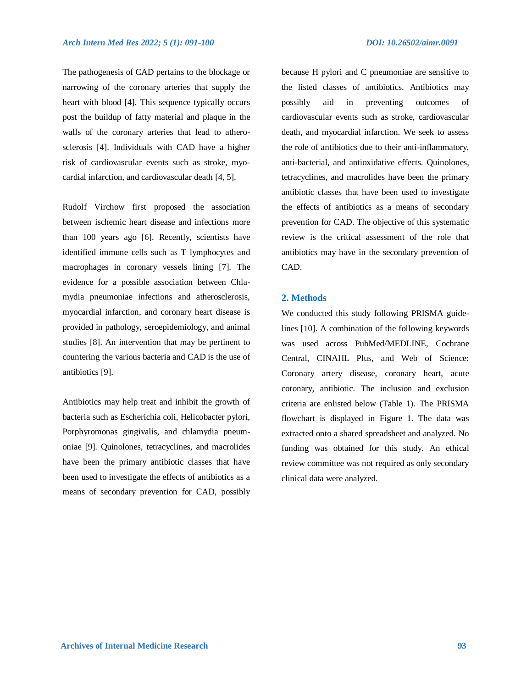The pathogenesis of CAD pertains to the blockage or narrowing of the coronary arteries that supply the heart with blood [4]. This sequence typically occurs post the buildup of fatty material and plaque in the walls of the coronary arteries that lead to atherosclerosis [4]. Individuals with CAD have a higher risk of cardiovascular events such as stroke, myocardial infarction, and cardiovascular death [4, 5].

Rudolf Virchow first proposed the association between ischemic heart disease and infections more than 100 years ago [6]. Recently, scientists have identified immune cells such as T lymphocytes and macrophages in coronary vessels lining [7]. The evidence for a possible association between Chlamydia pneumoniae infections and atherosclerosis, myocardial infarction, and coronary heart disease is provided in pathology, seroepidemiology, and animal studies [8]. An intervention that may be pertinent to countering the various bacteria and CAD is the use of antibiotics [9].

Antibiotics may help treat and inhibit the growth of bacteria such as Escherichia coli, Helicobacter pylori, Porphyromonas gingivalis, and chlamydia pneumoniae [9]. Quinolones, tetracyclines, and macrolides have been the primary antibiotic classes that have been used to investigate the effects of antibiotics as a means of secondary prevention for CAD, possibly because H pylori and C pneumoniae are sensitive to the listed classes of antibiotics. Antibiotics may possibly aid in preventing outcomes of cardiovascular events such as stroke, cardiovascular death, and myocardial infarction. We seek to assess the role of antibiotics due to their anti-inflammatory, anti-bacterial, and antioxidative effects. Quinolones, tetracyclines, and macrolides have been the primary antibiotic classes that have been used to investigate the effects of antibiotics as a means of secondary prevention for CAD. The objective of this systematic review is the critical assessment of the role that antibiotics may have in the secondary prevention of CAD.

#### **2. Methods**

We conducted this study following PRISMA guidelines [10]. A combination of the following keywords was used across PubMed/MEDLINE, Cochrane Central, CINAHL Plus, and Web of Science: Coronary artery disease, coronary heart, acute coronary, antibiotic. The inclusion and exclusion criteria are enlisted below (Table 1). The PRISMA flowchart is displayed in Figure 1. The data was extracted onto a shared spreadsheet and analyzed. No funding was obtained for this study. An ethical review committee was not required as only secondary clinical data were analyzed.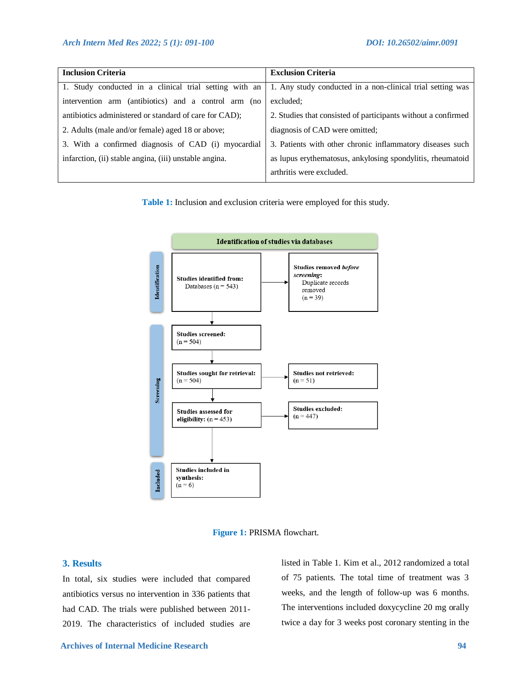| <b>Inclusion Criteria</b>                              | <b>Exclusion Criteria</b>                                     |
|--------------------------------------------------------|---------------------------------------------------------------|
| 1. Study conducted in a clinical trial setting with an | 1. Any study conducted in a non-clinical trial setting was    |
| intervention arm (antibiotics) and a control arm (no   | excluded:                                                     |
| antibiotics administered or standard of care for CAD); | 2. Studies that consisted of participants without a confirmed |
| 2. Adults (male and/or female) aged 18 or above;       | diagnosis of CAD were omitted;                                |
| 3. With a confirmed diagnosis of CAD (i) myocardial    | 3. Patients with other chronic inflammatory diseases such     |
| infarction, (ii) stable angina, (iii) unstable angina. | as lupus erythematosus, ankylosing spondylitis, rheumatoid    |
|                                                        | arthritis were excluded.                                      |

**Table 1:** Inclusion and exclusion criteria were employed for this study.



**Figure 1:** PRISMA flowchart.

# **3. Results**

In total, six studies were included that compared antibiotics versus no intervention in 336 patients that had CAD. The trials were published between 2011- 2019. The characteristics of included studies are listed in Table 1. Kim et al., 2012 randomized a total of 75 patients. The total time of treatment was 3 weeks, and the length of follow-up was 6 months. The interventions included doxycycline 20 mg orally twice a day for 3 weeks post coronary stenting in the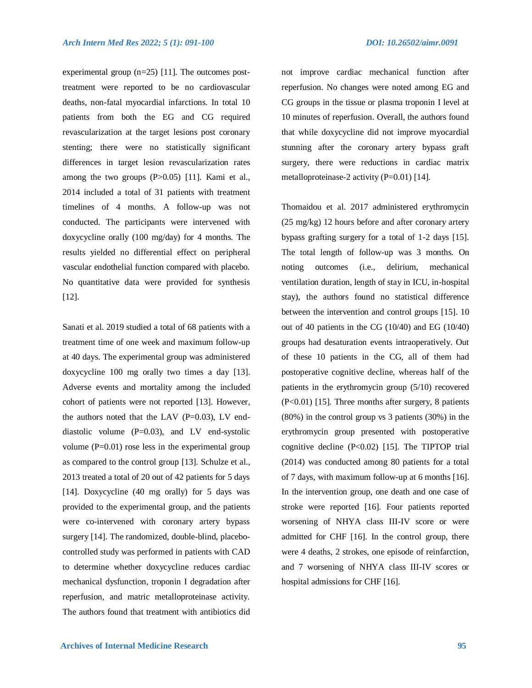experimental group (n=25) [11]. The outcomes posttreatment were reported to be no cardiovascular deaths, non-fatal myocardial infarctions. In total 10 patients from both the EG and CG required revascularization at the target lesions post coronary stenting; there were no statistically significant differences in target lesion revascularization rates among the two groups (P>0.05) [11]. Kami et al., 2014 included a total of 31 patients with treatment timelines of 4 months. A follow-up was not conducted. The participants were intervened with doxycycline orally (100 mg/day) for 4 months. The results yielded no differential effect on peripheral vascular endothelial function compared with placebo. No quantitative data were provided for synthesis [12].

Sanati et al. 2019 studied a total of 68 patients with a treatment time of one week and maximum follow-up at 40 days. The experimental group was administered doxycycline 100 mg orally two times a day [13]. Adverse events and mortality among the included cohort of patients were not reported [13]. However, the authors noted that the LAV  $(P=0.03)$ , LV enddiastolic volume  $(P=0.03)$ , and LV end-systolic volume  $(P=0.01)$  rose less in the experimental group as compared to the control group [13]. Schulze et al., 2013 treated a total of 20 out of 42 patients for 5 days [14]. Doxycycline (40 mg orally) for 5 days was provided to the experimental group, and the patients were co-intervened with coronary artery bypass surgery [14]. The randomized, double-blind, placebocontrolled study was performed in patients with CAD to determine whether doxycycline reduces cardiac mechanical dysfunction, troponin I degradation after reperfusion, and matric metalloproteinase activity. The authors found that treatment with antibiotics did not improve cardiac mechanical function after reperfusion. No changes were noted among EG and CG groups in the tissue or plasma troponin I level at 10 minutes of reperfusion. Overall, the authors found that while doxycycline did not improve myocardial stunning after the coronary artery bypass graft surgery, there were reductions in cardiac matrix metalloproteinase-2 activity (P=0.01) [14].

Thomaidou et al. 2017 administered erythromycin (25 mg/kg) 12 hours before and after coronary artery bypass grafting surgery for a total of 1-2 days [15]. The total length of follow-up was 3 months. On noting outcomes (i.e., delirium, mechanical ventilation duration, length of stay in ICU, in-hospital stay), the authors found no statistical difference between the intervention and control groups [15]. 10 out of 40 patients in the CG (10/40) and EG (10/40) groups had desaturation events intraoperatively. Out of these 10 patients in the CG, all of them had postoperative cognitive decline, whereas half of the patients in the erythromycin group (5/10) recovered (P<0.01) [15]. Three months after surgery, 8 patients (80%) in the control group vs 3 patients (30%) in the erythromycin group presented with postoperative cognitive decline  $(P<0.02)$  [15]. The TIPTOP trial (2014) was conducted among 80 patients for a total of 7 days, with maximum follow-up at 6 months [16]. In the intervention group, one death and one case of stroke were reported [16]. Four patients reported worsening of NHYA class III-IV score or were admitted for CHF [16]. In the control group, there were 4 deaths, 2 strokes, one episode of reinfarction, and 7 worsening of NHYA class III-IV scores or hospital admissions for CHF [16].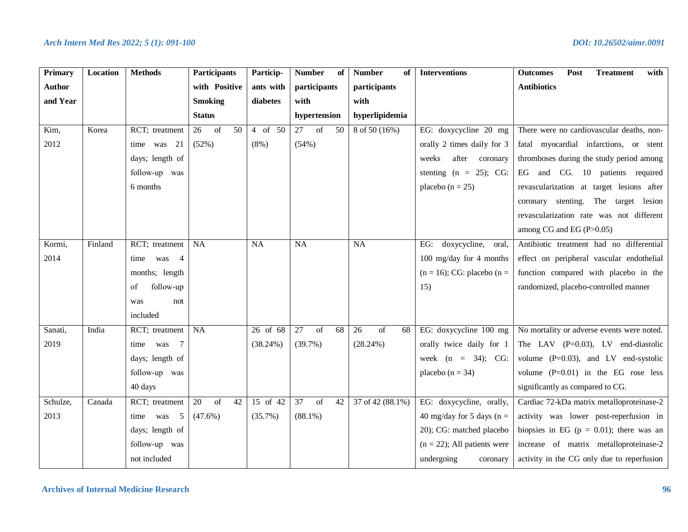| <b>Primary</b> | Location | <b>Methods</b>              | Participants                                    | Particip-   | <b>Number</b><br>of                | <b>Number</b><br>of                             | <b>Interventions</b>            | <b>Outcomes</b><br>Post<br><b>Treatment</b><br>with |
|----------------|----------|-----------------------------|-------------------------------------------------|-------------|------------------------------------|-------------------------------------------------|---------------------------------|-----------------------------------------------------|
| <b>Author</b>  |          |                             | with Positive                                   | ants with   | participants                       | participants                                    |                                 | <b>Antibiotics</b>                                  |
| and Year       |          |                             | <b>Smoking</b>                                  | diabetes    | with                               | with                                            |                                 |                                                     |
|                |          |                             | <b>Status</b>                                   |             | hypertension                       | hyperlipidemia                                  |                                 |                                                     |
| Kim,           | Korea    | RCT; treatment              | $\overline{\text{of}}$<br>50<br>$\overline{26}$ | $4$ of 50   | 27<br>$\overline{\text{of}}$<br>50 | $8 \text{ of } 50 (16\%)$                       | EG: doxycycline 20 mg           | There were no cardiovascular deaths, non-           |
| 2012           |          | time was 21                 | (52%)                                           | $(8\%)$     | (54%)                              |                                                 | orally 2 times daily for 3      | fatal myocardial infarctions, or stent              |
|                |          | days; length of             |                                                 |             |                                    |                                                 | after coronary<br>weeks         | thromboses during the study period among            |
|                |          | follow-up was               |                                                 |             |                                    |                                                 | stenting $(n = 25)$ ; CG:       | EG and CG. 10 patients required                     |
|                |          | 6 months                    |                                                 |             |                                    |                                                 | placebo ( $n = 25$ )            | revascularization at target lesions after           |
|                |          |                             |                                                 |             |                                    |                                                 |                                 | coronary stenting. The target lesion                |
|                |          |                             |                                                 |             |                                    |                                                 |                                 | revascularization rate was not different            |
|                |          |                             |                                                 |             |                                    |                                                 |                                 | among CG and EG (P>0.05)                            |
| Kormi,         | Finland  | RCT; treatment              | NA                                              | NA          | $\overline{NA}$                    | <b>NA</b>                                       | doxycycline,<br>EG:<br>oral,    | Antibiotic treatment had no differential            |
| 2014           |          | time was 4                  |                                                 |             |                                    |                                                 | 100 mg/day for 4 months         | effect on peripheral vascular endothelial           |
|                |          | months; length              |                                                 |             |                                    |                                                 | $(n = 16)$ ; CG: placebo $(n =$ | function compared with placebo in the               |
|                |          | follow-up<br>of             |                                                 |             |                                    |                                                 | 15)                             | randomized, placebo-controlled manner               |
|                |          | was<br>not                  |                                                 |             |                                    |                                                 |                                 |                                                     |
|                |          | included                    |                                                 |             |                                    |                                                 |                                 |                                                     |
| Sanati,        | India    | RCT; treatment              | NA                                              | 26 of 68    | 27<br>of<br>68                     | $\overline{26}$<br>$\overline{\text{of}}$<br>68 | EG: doxycycline 100 mg          | No mortality or adverse events were noted.          |
| 2019           |          | time was 7                  |                                                 | $(38.24\%)$ | (39.7%)                            | (28.24%)                                        | orally twice daily for 1        | The LAV $(P=0.03)$ , LV end-diastolic               |
|                |          | days; length of             |                                                 |             |                                    |                                                 | week $(n = 34)$ ; CG:           | volume $(P=0.03)$ , and LV end-systolic             |
|                |          | follow-up was               |                                                 |             |                                    |                                                 | placebo ( $n = 34$ )            | volume $(P=0.01)$ in the EG rose less               |
|                |          | 40 days                     |                                                 |             |                                    |                                                 |                                 | significantly as compared to CG.                    |
| Schulze,       | Canada   | RCT; treatment              | 20<br>of<br>42                                  | 15 of 42    | 37<br>of<br>42                     | 37 of 42 (88.1%)                                | EG: doxycycline, orally,        | Cardiac 72-kDa matrix metalloproteinase-2           |
| 2013           |          | $5\overline{)}$<br>time was | $(47.6\%)$                                      | (35.7%)     | $(88.1\%)$                         |                                                 | 40 mg/day for 5 days ( $n =$    | activity was lower post-reperfusion in              |
|                |          | days; length of             |                                                 |             |                                    |                                                 | 20); CG: matched placebo        | biopsies in EG ( $p = 0.01$ ); there was an         |
|                |          | follow-up was               |                                                 |             |                                    |                                                 | $(n = 22)$ ; All patients were  | increase of matrix metalloproteinase-2              |
|                |          | not included                |                                                 |             |                                    |                                                 | undergoing<br>coronary          | activity in the CG only due to reperfusion          |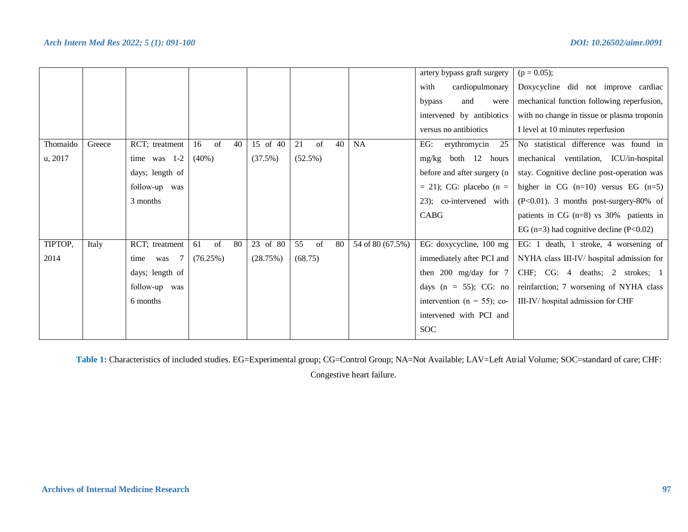|          |        |                    |                |          |                |                  | artery bypass graft surgery     | $(p = 0.05);$                                   |
|----------|--------|--------------------|----------------|----------|----------------|------------------|---------------------------------|-------------------------------------------------|
|          |        |                    |                |          |                |                  | cardiopulmonary<br>with         | Doxycycline did not improve cardiac             |
|          |        |                    |                |          |                |                  | bypass<br>and<br>were           | mechanical function following reperfusion,      |
|          |        |                    |                |          |                |                  | intervened by antibiotics       | with no change in tissue or plasma troponin     |
|          |        |                    |                |          |                |                  | versus no antibiotics           | I level at 10 minutes reperfusion               |
| Thomaido | Greece | RCT; treatment     | 16<br>of<br>40 | 15 of 40 | 21<br>40<br>of | <b>NA</b>        | 25<br>EG:<br>erythromycin       | No statistical difference was found in          |
| u, 2017  |        | time was $1-2$     | $(40\%)$       | (37.5%)  | $(52.5\%)$     |                  | both 12 hours<br>mg/kg          | mechanical ventilation, ICU/in-hospital         |
|          |        | days; length of    |                |          |                |                  | before and after surgery (n     | stay. Cognitive decline post-operation was      |
|          |        | follow-up was      |                |          |                |                  | $=$ 21); CG: placebo (n $=$     | higher in $CG$ (n=10) versus EG (n=5)           |
|          |        | 3 months           |                |          |                |                  | 23); co-intervened with         | $(P<0.01)$ . 3 months post-surgery-80% of       |
|          |        |                    |                |          |                |                  | CABG                            | patients in $CG (n=8)$ vs 30% patients in       |
|          |        |                    |                |          |                |                  |                                 | EG ( $n=3$ ) had cognitive decline ( $P<0.02$ ) |
| TIPTOP,  | Italy  | RCT; treatment     | of<br>80<br>61 | 23 of 80 | 55<br>of<br>80 | 54 of 80 (67.5%) | EG: doxycycline, 100 mg         | EG: 1 death, 1 stroke, 4 worsening of           |
| 2014     |        | - 7<br>time<br>was | (76.25%)       | (28.75%) | (68.75)        |                  | immediately after PCI and       | NYHA class III-IV/ hospital admission for       |
|          |        | days; length of    |                |          |                |                  | then $200 \text{ mg/day}$ for 7 | CHF; CG: 4 deaths; 2 strokes; 1                 |
|          |        | follow-up was      |                |          |                |                  | days (n = 55); CG: no           | reinfarction; 7 worsening of NYHA class         |
|          |        | 6 months           |                |          |                |                  | intervention ( $n = 55$ ); co-  | III-IV/ hospital admission for CHF              |
|          |        |                    |                |          |                |                  | intervened with PCI and         |                                                 |
|          |        |                    |                |          |                |                  | <b>SOC</b>                      |                                                 |

**Table 1:** Characteristics of included studies. EG=Experimental group; CG=Control Group; NA=Not Available; LAV=Left Atrial Volume; SOC=standard of care; CHF:

Congestive heart failure.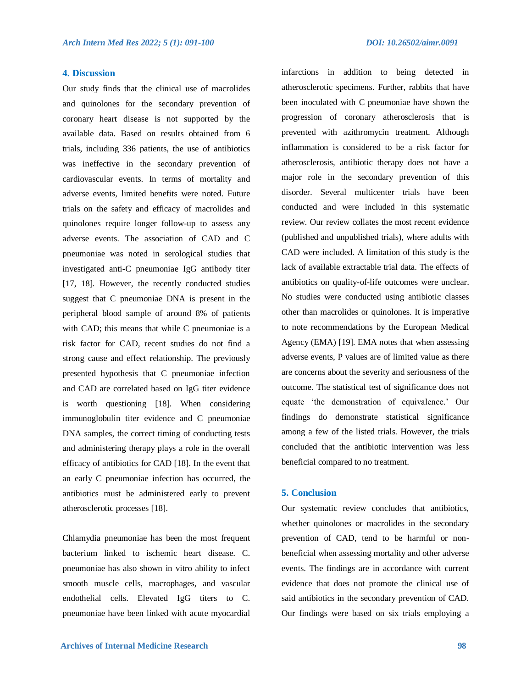# **4. Discussion**

Our study finds that the clinical use of macrolides and quinolones for the secondary prevention of coronary heart disease is not supported by the available data. Based on results obtained from 6 trials, including 336 patients, the use of antibiotics was ineffective in the secondary prevention of cardiovascular events. In terms of mortality and adverse events, limited benefits were noted. Future trials on the safety and efficacy of macrolides and quinolones require longer follow-up to assess any adverse events. The association of CAD and C pneumoniae was noted in serological studies that investigated anti-C pneumoniae IgG antibody titer [17, 18]. However, the recently conducted studies suggest that C pneumoniae DNA is present in the peripheral blood sample of around 8% of patients with CAD; this means that while C pneumoniae is a risk factor for CAD, recent studies do not find a strong cause and effect relationship. The previously presented hypothesis that C pneumoniae infection and CAD are correlated based on IgG titer evidence is worth questioning [18]. When considering immunoglobulin titer evidence and C pneumoniae DNA samples, the correct timing of conducting tests and administering therapy plays a role in the overall efficacy of antibiotics for CAD [18]. In the event that an early C pneumoniae infection has occurred, the antibiotics must be administered early to prevent atherosclerotic processes [18].

Chlamydia pneumoniae has been the most frequent bacterium linked to ischemic heart disease. C. pneumoniae has also shown in vitro ability to infect smooth muscle cells, macrophages, and vascular endothelial cells. Elevated IgG titers to C. pneumoniae have been linked with acute myocardial infarctions in addition to being detected in atherosclerotic specimens. Further, rabbits that have been inoculated with C pneumoniae have shown the progression of coronary atherosclerosis that is prevented with azithromycin treatment. Although inflammation is considered to be a risk factor for atherosclerosis, antibiotic therapy does not have a major role in the secondary prevention of this disorder. Several multicenter trials have been conducted and were included in this systematic review. Our review collates the most recent evidence (published and unpublished trials), where adults with CAD were included. A limitation of this study is the lack of available extractable trial data. The effects of antibiotics on quality-of-life outcomes were unclear. No studies were conducted using antibiotic classes other than macrolides or quinolones. It is imperative to note recommendations by the European Medical Agency (EMA) [19]. EMA notes that when assessing adverse events, P values are of limited value as there are concerns about the severity and seriousness of the outcome. The statistical test of significance does not equate 'the demonstration of equivalence.' Our findings do demonstrate statistical significance among a few of the listed trials. However, the trials concluded that the antibiotic intervention was less beneficial compared to no treatment.

#### **5. Conclusion**

Our systematic review concludes that antibiotics, whether quinolones or macrolides in the secondary prevention of CAD, tend to be harmful or nonbeneficial when assessing mortality and other adverse events. The findings are in accordance with current evidence that does not promote the clinical use of said antibiotics in the secondary prevention of CAD. Our findings were based on six trials employing a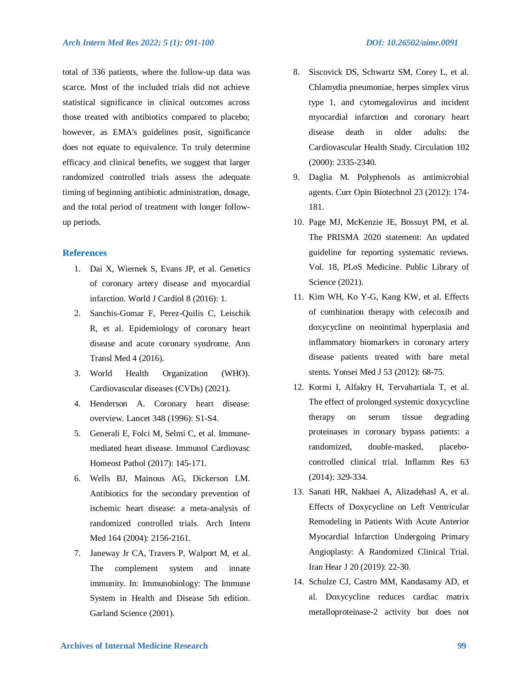total of 336 patients, where the follow-up data was scarce. Most of the included trials did not achieve statistical significance in clinical outcomes across those treated with antibiotics compared to placebo; however, as EMA's guidelines posit, significance does not equate to equivalence. To truly determine efficacy and clinical benefits, we suggest that larger randomized controlled trials assess the adequate timing of beginning antibiotic administration, dosage, and the total period of treatment with longer follow-

### **References**

up periods.

- 1. Dai X, Wiernek S, Evans JP, et al. Genetics of coronary artery disease and myocardial infarction. World J Cardiol 8 (2016): 1.
- 2. Sanchis-Gomar F, Perez-Quilis C, Leischik R, et al. Epidemiology of coronary heart disease and acute coronary syndrome. Ann Transl Med 4 (2016).
- 3. World Health Organization (WHO). Cardiovascular diseases (CVDs) (2021).
- 4. Henderson A. Coronary heart disease: overview. Lancet 348 (1996): S1-S4.
- 5. Generali E, Folci M, Selmi C, et al. Immunemediated heart disease. Immunol Cardiovasc Homeost Pathol (2017): 145-171.
- 6. Wells BJ, Mainous AG, Dickerson LM. Antibiotics for the secondary prevention of ischemic heart disease: a meta-analysis of randomized controlled trials. Arch Intern Med 164 (2004): 2156-2161.
- 7. Janeway Jr CA, Travers P, Walport M, et al. The complement system and innate immunity. In: Immunobiology: The Immune System in Health and Disease 5th edition. Garland Science (2001).
- 8. Siscovick DS, Schwartz SM, Corey L, et al. Chlamydia pneumoniae, herpes simplex virus type 1, and cytomegalovirus and incident myocardial infarction and coronary heart disease death in older adults: the Cardiovascular Health Study. Circulation 102 (2000): 2335-2340.
- 9. Daglia M. Polyphenols as antimicrobial agents. Curr Opin Biotechnol 23 (2012): 174- 181.
- 10. Page MJ, McKenzie JE, Bossuyt PM, et al. The PRISMA 2020 statement: An updated guideline for reporting systematic reviews. Vol. 18, PLoS Medicine. Public Library of Science (2021).
- 11. Kim WH, Ko Y-G, Kang KW, et al. Effects of combination therapy with celecoxib and doxycycline on neointimal hyperplasia and inflammatory biomarkers in coronary artery disease patients treated with bare metal stents. Yonsei Med J 53 (2012): 68-75.
- 12. Kormi I, Alfakry H, Tervahartiala T, et al. The effect of prolonged systemic doxycycline therapy on serum tissue degrading proteinases in coronary bypass patients: a randomized, double-masked, placebocontrolled clinical trial. Inflamm Res 63 (2014): 329-334.
- 13. Sanati HR, Nakhaei A, Alizadehasl A, et al. Effects of Doxycycline on Left Ventricular Remodeling in Patients With Acute Anterior Myocardial Infarction Undergoing Primary Angioplasty: A Randomized Clinical Trial. Iran Hear J 20 (2019): 22-30.
- 14. Schulze CJ, Castro MM, Kandasamy AD, et al. Doxycycline reduces cardiac matrix metalloproteinase-2 activity but does not